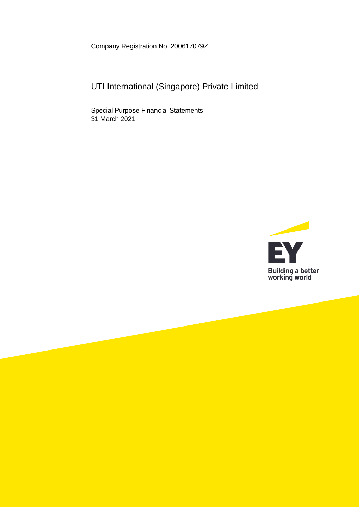Company Registration No. 200617079Z

# UTI International (Singapore) Private Limited

Special Purpose Financial Statements 31 March 2021

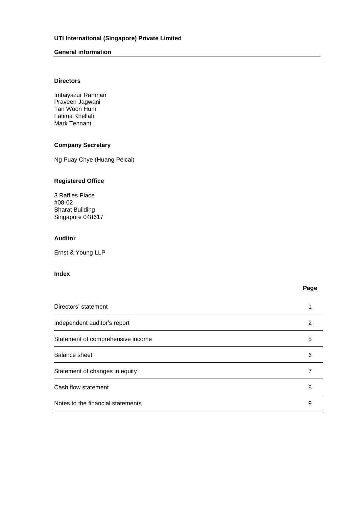# **General information**

# **Directors**

Imtaiyazur Rahman Praveen Jagwani Tan Woon Hum Fatima Khellafi Mark Tennant

# **Company Secretary**

Ng Puay Chye (Huang Peicai)

# **Registered Office**

3 Raffles Place #08-02 Bharat Building Singapore 048617

### **Auditor**

Ernst & Young LLP

# **Index**

**Page**

| Directors' statement              |   |
|-----------------------------------|---|
| Independent auditor's report      |   |
| Statement of comprehensive income | 5 |
| Balance sheet                     | 6 |
| Statement of changes in equity    |   |
| Cash flow statement               | 8 |
| Notes to the financial statements | 9 |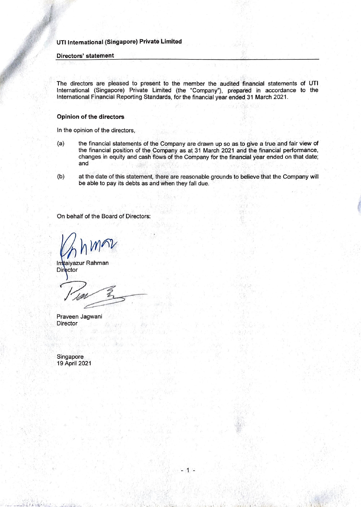#### **Directors' statement**

The directors are pleased to present to the member the audited financial statements of UTI International (Singapore) Private Limited (the "Company"), prepared in accordance to the International Financial Reporting Standards, for the financial year ended 31 March 2021.

# **Opinion of the directors**

In the opinion of the directors,

- (a) the financial statements of the Company are drawn up so as to give a true and fair view of the financial position of the Company as at 31 March 2021 and the financial performance, changes in equity and cash flows of the Company for the financial year ended on that date; and
- (b) at the date of this statement, there are reasonable grounds to believe that the Company will be able to pay its debts as and when they fall due.

·'

- 1 -

. ' . • I ,

On behalf of the Board of Directors:

Imtaiyazur Rahman **Director** 

Praveen Jagwani **Director** 

Singapore 19 April 2021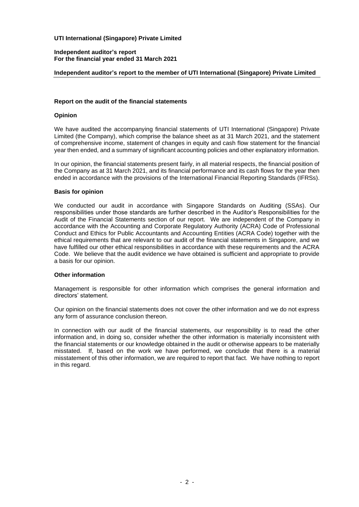#### **Independent auditor's report For the financial year ended 31 March 2021**

# **Independent auditor's report to the member of UTI International (Singapore) Private Limited**

#### **Report on the audit of the financial statements**

# **Opinion**

We have audited the accompanying financial statements of UTI International (Singapore) Private Limited (the Company), which comprise the balance sheet as at 31 March 2021, and the statement of comprehensive income, statement of changes in equity and cash flow statement for the financial year then ended, and a summary of significant accounting policies and other explanatory information.

In our opinion, the financial statements present fairly, in all material respects, the financial position of the Company as at 31 March 2021, and its financial performance and its cash flows for the year then ended in accordance with the provisions of the International Financial Reporting Standards (IFRSs).

#### **Basis for opinion**

We conducted our audit in accordance with Singapore Standards on Auditing (SSAs). Our responsibilities under those standards are further described in the Auditor's Responsibilities for the Audit of the Financial Statements section of our report. We are independent of the Company in accordance with the Accounting and Corporate Regulatory Authority (ACRA) Code of Professional Conduct and Ethics for Public Accountants and Accounting Entities (ACRA Code) together with the ethical requirements that are relevant to our audit of the financial statements in Singapore, and we have fulfilled our other ethical responsibilities in accordance with these requirements and the ACRA Code. We believe that the audit evidence we have obtained is sufficient and appropriate to provide a basis for our opinion.

# **Other information**

Management is responsible for other information which comprises the general information and directors' statement.

Our opinion on the financial statements does not cover the other information and we do not express any form of assurance conclusion thereon.

In connection with our audit of the financial statements, our responsibility is to read the other information and, in doing so, consider whether the other information is materially inconsistent with the financial statements or our knowledge obtained in the audit or otherwise appears to be materially misstated. If, based on the work we have performed, we conclude that there is a material misstatement of this other information, we are required to report that fact. We have nothing to report in this regard.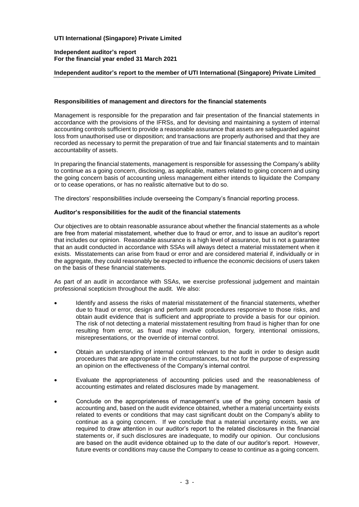#### **Independent auditor's report For the financial year ended 31 March 2021**

# **Independent auditor's report to the member of UTI International (Singapore) Private Limited**

#### **Responsibilities of management and directors for the financial statements**

Management is responsible for the preparation and fair presentation of the financial statements in accordance with the provisions of the IFRSs, and for devising and maintaining a system of internal accounting controls sufficient to provide a reasonable assurance that assets are safeguarded against loss from unauthorised use or disposition; and transactions are properly authorised and that they are recorded as necessary to permit the preparation of true and fair financial statements and to maintain accountability of assets.

In preparing the financial statements, management is responsible for assessing the Company's ability to continue as a going concern, disclosing, as applicable, matters related to going concern and using the going concern basis of accounting unless management either intends to liquidate the Company or to cease operations, or has no realistic alternative but to do so.

The directors' responsibilities include overseeing the Company's financial reporting process.

#### **Auditor's responsibilities for the audit of the financial statements**

Our objectives are to obtain reasonable assurance about whether the financial statements as a whole are free from material misstatement, whether due to fraud or error, and to issue an auditor's report that includes our opinion. Reasonable assurance is a high level of assurance, but is not a guarantee that an audit conducted in accordance with SSAs will always detect a material misstatement when it exists. Misstatements can arise from fraud or error and are considered material if, individually or in the aggregate, they could reasonably be expected to influence the economic decisions of users taken on the basis of these financial statements.

As part of an audit in accordance with SSAs, we exercise professional judgement and maintain professional scepticism throughout the audit. We also:

- Identify and assess the risks of material misstatement of the financial statements, whether due to fraud or error, design and perform audit procedures responsive to those risks, and obtain audit evidence that is sufficient and appropriate to provide a basis for our opinion. The risk of not detecting a material misstatement resulting from fraud is higher than for one resulting from error, as fraud may involve collusion, forgery, intentional omissions, misrepresentations, or the override of internal control.
- Obtain an understanding of internal control relevant to the audit in order to design audit procedures that are appropriate in the circumstances, but not for the purpose of expressing an opinion on the effectiveness of the Company's internal control.
- Evaluate the appropriateness of accounting policies used and the reasonableness of accounting estimates and related disclosures made by management.
- Conclude on the appropriateness of management's use of the going concern basis of accounting and, based on the audit evidence obtained, whether a material uncertainty exists related to events or conditions that may cast significant doubt on the Company's ability to continue as a going concern. If we conclude that a material uncertainty exists, we are required to draw attention in our auditor's report to the related disclosures in the financial statements or, if such disclosures are inadequate, to modify our opinion. Our conclusions are based on the audit evidence obtained up to the date of our auditor's report. However, future events or conditions may cause the Company to cease to continue as a going concern.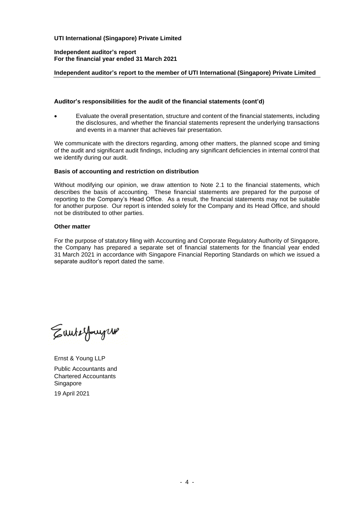# **Independent auditor's report For the financial year ended 31 March 2021**

# **Independent auditor's report to the member of UTI International (Singapore) Private Limited**

#### **Auditor's responsibilities for the audit of the financial statements (cont'd)**

• Evaluate the overall presentation, structure and content of the financial statements, including the disclosures, and whether the financial statements represent the underlying transactions and events in a manner that achieves fair presentation.

We communicate with the directors regarding, among other matters, the planned scope and timing of the audit and significant audit findings, including any significant deficiencies in internal control that we identify during our audit.

# **Basis of accounting and restriction on distribution**

Without modifying our opinion, we draw attention to Note 2.1 to the financial statements, which describes the basis of accounting. These financial statements are prepared for the purpose of reporting to the Company's Head Office. As a result, the financial statements may not be suitable for another purpose. Our report is intended solely for the Company and its Head Office, and should not be distributed to other parties.

### **Other matter**

For the purpose of statutory filing with Accounting and Corporate Regulatory Authority of Singapore, the Company has prepared a separate set of financial statements for the financial year ended 31 March 2021 in accordance with Singapore Financial Reporting Standards on which we issued a separate auditor's report dated the same.

Eunterfourgus

Ernst & Young LLP Public Accountants and Chartered Accountants Singapore 19 April 2021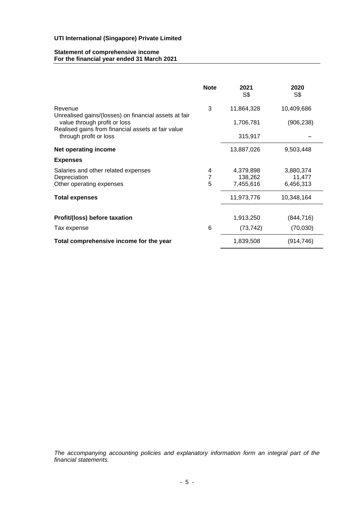#### **Statement of comprehensive income For the financial year ended 31 March 2021**

|                                                                                    | <b>Note</b> | 2021<br>S\$          | 2020<br>S\$         |
|------------------------------------------------------------------------------------|-------------|----------------------|---------------------|
| Revenue<br>Unrealised gains/(losses) on financial assets at fair                   | 3           | 11,864,328           | 10,409,686          |
| value through profit or loss<br>Realised gains from financial assets at fair value |             | 1,706,781            | (906, 238)          |
| through profit or loss                                                             |             | 315,917              |                     |
| <b>Net operating income</b>                                                        |             | 13,887,026           | 9,503,448           |
| <b>Expenses</b>                                                                    |             |                      |                     |
| Salaries and other related expenses                                                | 4           | 4,379,898            | 3,880,374           |
| Depreciation<br>Other operating expenses                                           | 5           | 138,262<br>7,455,616 | 11,477<br>6,456,313 |
| <b>Total expenses</b>                                                              |             | 11,973,776           | 10,348,164          |
| Profit/(loss) before taxation                                                      |             | 1,913,250            | (844, 716)          |
| Tax expense                                                                        | 6           | (73, 742)            | (70,030)            |
| Total comprehensive income for the year                                            |             | 1,839,508            | (914, 746)          |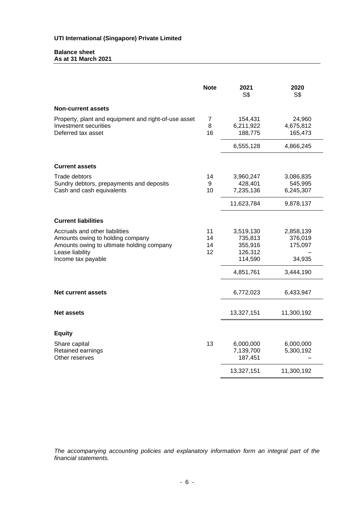#### **Balance sheet As at 31 March 2021**

|                                                                                                                                                          | <b>Note</b>          | 2021<br>S\$                                           | 2020<br>S\$                                    |
|----------------------------------------------------------------------------------------------------------------------------------------------------------|----------------------|-------------------------------------------------------|------------------------------------------------|
| <b>Non-current assets</b>                                                                                                                                |                      |                                                       |                                                |
| Property, plant and equipment and right-of-use asset<br>Investment securities<br>Deferred tax asset                                                      | 7<br>8<br>16         | 154,431<br>6,211,922<br>188,775                       | 24,960<br>4,675,812<br>165,473                 |
|                                                                                                                                                          |                      | 6,555,128                                             | 4,866,245                                      |
| <b>Current assets</b>                                                                                                                                    |                      |                                                       |                                                |
| <b>Trade debtors</b><br>Sundry debtors, prepayments and deposits<br>Cash and cash equivalents                                                            | 14<br>9<br>10        | 3,960,247<br>428,401<br>7,235,136<br>11,623,784       | 3,086,835<br>545,995<br>6,245,307<br>9,878,137 |
| <b>Current liabilities</b>                                                                                                                               |                      |                                                       |                                                |
| Accruals and other liabilities<br>Amounts owing to holding company<br>Amounts owing to ultimate holding company<br>Lease liability<br>Income tax payable | 11<br>14<br>14<br>12 | 3,519,130<br>735,813<br>355,916<br>126,312<br>114,590 | 2,858,139<br>376,019<br>175,097<br>34,935      |
|                                                                                                                                                          |                      | 4,851,761                                             | 3,444,190                                      |
| <b>Net current assets</b>                                                                                                                                |                      | 6,772,023                                             | 6,433,947                                      |
| <b>Net assets</b>                                                                                                                                        |                      | 13,327,151                                            | 11,300,192                                     |
| <b>Equity</b>                                                                                                                                            |                      |                                                       |                                                |
| Share capital<br>Retained earnings<br>Other reserves                                                                                                     | 13                   | 6,000,000<br>7,139,700<br>187,451                     | 6,000,000<br>5,300,192                         |
|                                                                                                                                                          |                      | 13,327,151                                            | 11,300,192                                     |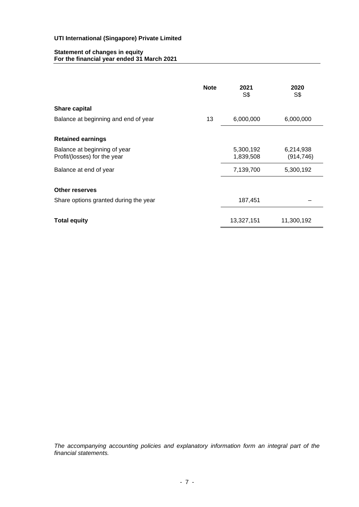# **Statement of changes in equity For the financial year ended 31 March 2021**

|                                                              | <b>Note</b> | 2021<br>S\$            | 2020<br>S\$             |
|--------------------------------------------------------------|-------------|------------------------|-------------------------|
| <b>Share capital</b>                                         |             |                        |                         |
| Balance at beginning and end of year                         | 13          | 6,000,000              | 6,000,000               |
| <b>Retained earnings</b>                                     |             |                        |                         |
| Balance at beginning of year<br>Profit/(losses) for the year |             | 5,300,192<br>1,839,508 | 6,214,938<br>(914, 746) |
| Balance at end of year                                       |             | 7,139,700              | 5,300,192               |
| <b>Other reserves</b>                                        |             |                        |                         |
| Share options granted during the year                        |             | 187,451                |                         |
| <b>Total equity</b>                                          |             | 13,327,151             | 11,300,192              |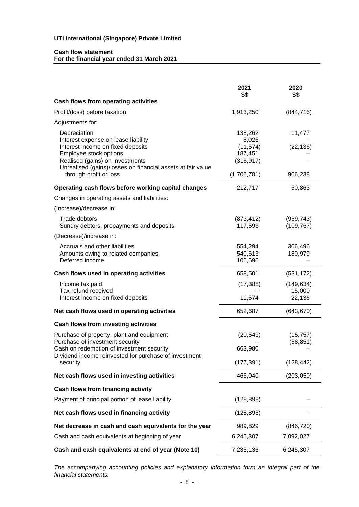# **Cash flow statement For the financial year ended 31 March 2021**

|                                                                                                                                                                                                                                                | 2021<br>S\$                                                           | 2020<br>S\$                    |
|------------------------------------------------------------------------------------------------------------------------------------------------------------------------------------------------------------------------------------------------|-----------------------------------------------------------------------|--------------------------------|
| Cash flows from operating activities                                                                                                                                                                                                           |                                                                       |                                |
| Profit/(loss) before taxation                                                                                                                                                                                                                  | 1,913,250                                                             | (844, 716)                     |
| Adjustments for:                                                                                                                                                                                                                               |                                                                       |                                |
| Depreciation<br>Interest expense on lease liability<br>Interest income on fixed deposits<br>Employee stock options<br>Realised (gains) on Investments<br>Unrealised (gains)/losses on financial assets at fair value<br>through profit or loss | 138,262<br>8,026<br>(11, 574)<br>187,451<br>(315, 917)<br>(1,706,781) | 11,477<br>(22, 136)<br>906,238 |
| Operating cash flows before working capital changes                                                                                                                                                                                            | 212,717                                                               | 50,863                         |
| Changes in operating assets and liabilities:                                                                                                                                                                                                   |                                                                       |                                |
| (Increase)/decrease in:                                                                                                                                                                                                                        |                                                                       |                                |
| <b>Trade debtors</b><br>Sundry debtors, prepayments and deposits                                                                                                                                                                               | (873, 412)<br>117,593                                                 | (959, 743)<br>(109, 767)       |
| (Decrease)/increase in:                                                                                                                                                                                                                        |                                                                       |                                |
| Accruals and other liabilities<br>Amounts owing to related companies<br>Deferred income                                                                                                                                                        | 554,294<br>540,613<br>106,696                                         | 306,496<br>180,979             |
| Cash flows used in operating activities                                                                                                                                                                                                        | 658,501                                                               | (531, 172)                     |
| Income tax paid<br>Tax refund received<br>Interest income on fixed deposits                                                                                                                                                                    | (17, 388)<br>11,574                                                   | (149, 634)<br>15,000<br>22,136 |
| Net cash flows used in operating activities                                                                                                                                                                                                    | 652,687                                                               | (643, 670)                     |
| Cash flows from investing activities                                                                                                                                                                                                           |                                                                       |                                |
| Purchase of property, plant and equipment<br>Purchase of investment security                                                                                                                                                                   | (20, 549)                                                             | (15, 757)                      |
| Cash on redemption of investment security<br>Dividend income reinvested for purchase of investment                                                                                                                                             | 663,980                                                               | (58, 851)                      |
| security                                                                                                                                                                                                                                       | (177, 391)                                                            | (128, 442)                     |
| Net cash flows used in investing activities                                                                                                                                                                                                    | 466,040                                                               | (203,050)                      |
| Cash flows from financing activity                                                                                                                                                                                                             |                                                                       |                                |
| Payment of principal portion of lease liability                                                                                                                                                                                                | (128, 898)                                                            |                                |
| Net cash flows used in financing activity                                                                                                                                                                                                      | (128, 898)                                                            |                                |
| Net decrease in cash and cash equivalents for the year                                                                                                                                                                                         | 989,829                                                               | (846, 720)                     |
| Cash and cash equivalents at beginning of year                                                                                                                                                                                                 | 6,245,307                                                             | 7,092,027                      |
| Cash and cash equivalents at end of year (Note 10)                                                                                                                                                                                             | 7,235,136                                                             | 6,245,307                      |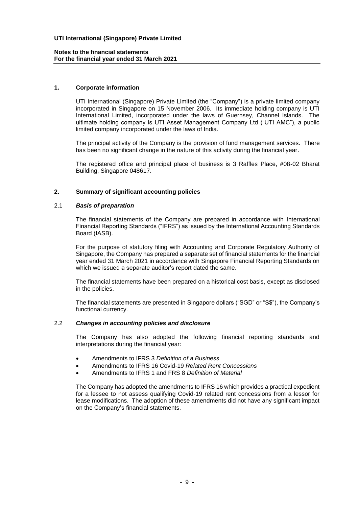### **1. Corporate information**

UTI International (Singapore) Private Limited (the "Company") is a private limited company incorporated in Singapore on 15 November 2006. Its immediate holding company is UTI International Limited, incorporated under the laws of Guernsey, Channel Islands. The ultimate holding company is UTI Asset Management Company Ltd ("UTI AMC"), a public limited company incorporated under the laws of India.

The principal activity of the Company is the provision of fund management services. There has been no significant change in the nature of this activity during the financial year.

The registered office and principal place of business is 3 Raffles Place, #08-02 Bharat Building, Singapore 048617.

# **2. Summary of significant accounting policies**

#### 2.1 *Basis of preparation*

The financial statements of the Company are prepared in accordance with International Financial Reporting Standards ("IFRS") as issued by the International Accounting Standards Board (IASB).

For the purpose of statutory filing with Accounting and Corporate Regulatory Authority of Singapore, the Company has prepared a separate set of financial statements for the financial year ended 31 March 2021 in accordance with Singapore Financial Reporting Standards on which we issued a separate auditor's report dated the same.

The financial statements have been prepared on a historical cost basis, except as disclosed in the policies.

The financial statements are presented in Singapore dollars ("SGD" or "S\$"), the Company's functional currency.

#### 2.2 *Changes in accounting policies and disclosure*

The Company has also adopted the following financial reporting standards and interpretations during the financial year:

- Amendments to IFRS 3 *Definition of a Business*
- Amendments to IFRS 16 Covid-19 *Related Rent Concessions*
- Amendments to IFRS 1 and FRS 8 *Definition of Material*

The Company has adopted the amendments to IFRS 16 which provides a practical expedient for a lessee to not assess qualifying Covid-19 related rent concessions from a lessor for lease modifications. The adoption of these amendments did not have any significant impact on the Company's financial statements.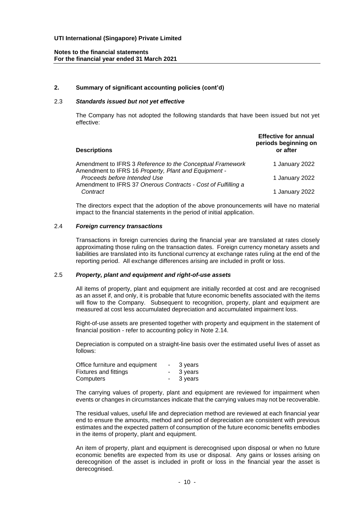### **2. Summary of significant accounting policies (cont'd)**

# 2.3 *Standards issued but not yet effective*

The Company has not adopted the following standards that have been issued but not yet effective:

| <b>Descriptions</b>                                                                                               | <b>Effective for annual</b><br>periods beginning on<br>or after |
|-------------------------------------------------------------------------------------------------------------------|-----------------------------------------------------------------|
| Amendment to IFRS 3 Reference to the Conceptual Framework<br>Amendment to IFRS 16 Property, Plant and Equipment - | 1 January 2022                                                  |
| Proceeds before Intended Use                                                                                      | 1 January 2022                                                  |
| Amendment to IFRS 37 Onerous Contracts - Cost of Fulfilling a<br>Contract                                         | 1 January 2022                                                  |

The directors expect that the adoption of the above pronouncements will have no material impact to the financial statements in the period of initial application.

#### 2.4 *Foreign currency transactions*

Transactions in foreign currencies during the financial year are translated at rates closely approximating those ruling on the transaction dates. Foreign currency monetary assets and liabilities are translated into its functional currency at exchange rates ruling at the end of the reporting period. All exchange differences arising are included in profit or loss.

#### 2.5 *Property, plant and equipment and right-of-use assets*

All items of property, plant and equipment are initially recorded at cost and are recognised as an asset if, and only, it is probable that future economic benefits associated with the items will flow to the Company. Subsequent to recognition, property, plant and equipment are measured at cost less accumulated depreciation and accumulated impairment loss.

Right-of-use assets are presented together with property and equipment in the statement of financial position - refer to accounting policy in Note 2.14.

Depreciation is computed on a straight-line basis over the estimated useful lives of asset as follows:

| Office furniture and equipment | $\sim$ | 3 years |
|--------------------------------|--------|---------|
| Fixtures and fittings          |        | 3 years |
| Computers                      |        | 3 years |

The carrying values of property, plant and equipment are reviewed for impairment when events or changes in circumstances indicate that the carrying values may not be recoverable.

The residual values, useful life and depreciation method are reviewed at each financial year end to ensure the amounts, method and period of depreciation are consistent with previous estimates and the expected pattern of consumption of the future economic benefits embodies in the items of property, plant and equipment.

An item of property, plant and equipment is derecognised upon disposal or when no future economic benefits are expected from its use or disposal. Any gains or losses arising on derecognition of the asset is included in profit or loss in the financial year the asset is derecognised.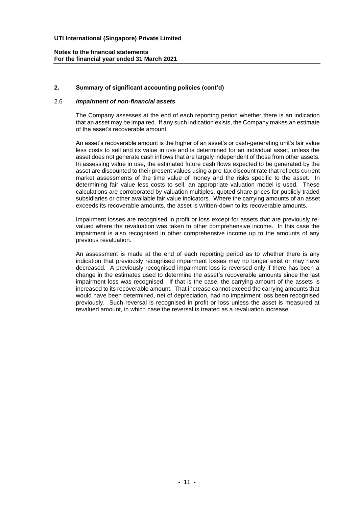# **2. Summary of significant accounting policies (cont'd)**

#### 2.6 *Impairment of non-financial assets*

The Company assesses at the end of each reporting period whether there is an indication that an asset may be impaired. If any such indication exists, the Company makes an estimate of the asset's recoverable amount.

An asset's recoverable amount is the higher of an asset's or cash-generating unit's fair value less costs to sell and its value in use and is determined for an individual asset, unless the asset does not generate cash inflows that are largely independent of those from other assets. In assessing value in use, the estimated future cash flows expected to be generated by the asset are discounted to their present values using a pre-tax discount rate that reflects current market assessments of the time value of money and the risks specific to the asset. In determining fair value less costs to sell, an appropriate valuation model is used. These calculations are corroborated by valuation multiples, quoted share prices for publicly traded subsidiaries or other available fair value indicators. Where the carrying amounts of an asset exceeds its recoverable amounts, the asset is written-down to its recoverable amounts.

Impairment losses are recognised in profit or loss except for assets that are previously revalued where the revaluation was taken to other comprehensive income. In this case the impairment is also recognised in other comprehensive income up to the amounts of any previous revaluation.

An assessment is made at the end of each reporting period as to whether there is any indication that previously recognised impairment losses may no longer exist or may have decreased. A previously recognised impairment loss is reversed only if there has been a change in the estimates used to determine the asset's recoverable amounts since the last impairment loss was recognised. If that is the case, the carrying amount of the assets is increased to its recoverable amount. That increase cannot exceed the carrying amounts that would have been determined, net of depreciation, had no impairment loss been recognised previously. Such reversal is recognised in profit or loss unless the asset is measured at revalued amount, in which case the reversal is treated as a revaluation increase.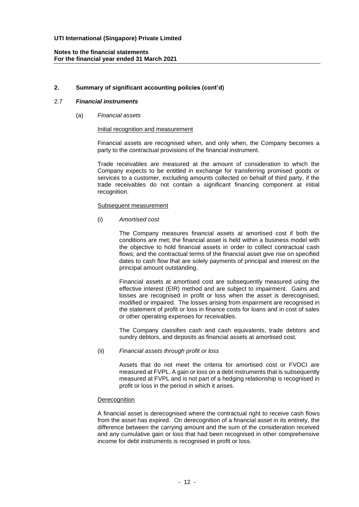# **2. Summary of significant accounting policies (cont'd)**

# 2.7 *Financial instruments*

(a) *Financial assets*

#### Initial recognition and measurement

Financial assets are recognised when, and only when, the Company becomes a party to the contractual provisions of the financial instrument.

Trade receivables are measured at the amount of consideration to which the Company expects to be entitled in exchange for transferring promised goods or services to a customer, excluding amounts collected on behalf of third party, if the trade receivables do not contain a significant financing component at initial recognition.

#### Subsequent measurement

(i) *Amortised cost*

The Company measures financial assets at amortised cost if both the conditions are met; the financial asset is held within a business model with the objective to hold financial assets in order to collect contractual cash flows; and the contractual terms of the financial asset give rise on specified dates to cash flow that are solely payments of principal and interest on the principal amount outstanding.

Financial assets at amortised cost are subsequently measured using the effective interest (EIR) method and are subject to impairment. Gains and losses are recognised in profit or loss when the asset is derecognised, modified or impaired. The losses arising from impairment are recognised in the statement of profit or loss in finance costs for loans and in cost of sales or other operating expenses for receivables.

The Company classifies cash and cash equivalents, trade debtors and sundry debtors, and deposits as financial assets at amortised cost.

(ii) *Financial assets through profit or loss*

Assets that do not meet the criteria for amortised cost or FVOCI are measured at FVPL. A gain or loss on a debt instruments that is subsequently measured at FVPL and is not part of a hedging relationship is recognised in profit or loss in the period in which it arises.

#### **Derecognition**

A financial asset is derecognised where the contractual right to receive cash flows from the asset has expired. On derecognition of a financial asset in its entirety, the difference between the carrying amount and the sum of the consideration received and any cumulative gain or loss that had been recognised in other comprehensive income for debt instruments is recognised in profit or loss.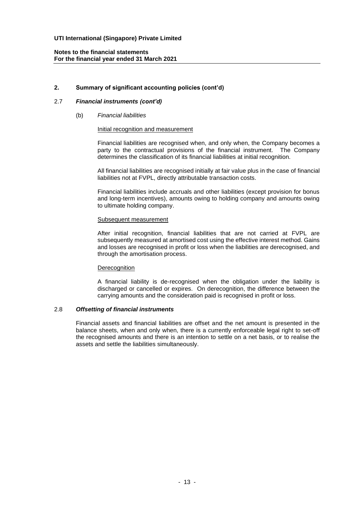# **2. Summary of significant accounting policies (cont'd)**

# 2.7 *Financial instruments (cont'd)*

#### (b) *Financial liabilities*

#### Initial recognition and measurement

Financial liabilities are recognised when, and only when, the Company becomes a party to the contractual provisions of the financial instrument. The Company determines the classification of its financial liabilities at initial recognition.

All financial liabilities are recognised initially at fair value plus in the case of financial liabilities not at FVPL, directly attributable transaction costs.

Financial liabilities include accruals and other liabilities (except provision for bonus and long-term incentives), amounts owing to holding company and amounts owing to ultimate holding company.

#### Subsequent measurement

After initial recognition, financial liabilities that are not carried at FVPL are subsequently measured at amortised cost using the effective interest method. Gains and losses are recognised in profit or loss when the liabilities are derecognised, and through the amortisation process.

#### **Derecognition**

A financial liability is de-recognised when the obligation under the liability is discharged or cancelled or expires. On derecognition, the difference between the carrying amounts and the consideration paid is recognised in profit or loss.

#### 2.8 *Offsetting of financial instruments*

Financial assets and financial liabilities are offset and the net amount is presented in the balance sheets, when and only when, there is a currently enforceable legal right to set-off the recognised amounts and there is an intention to settle on a net basis, or to realise the assets and settle the liabilities simultaneously.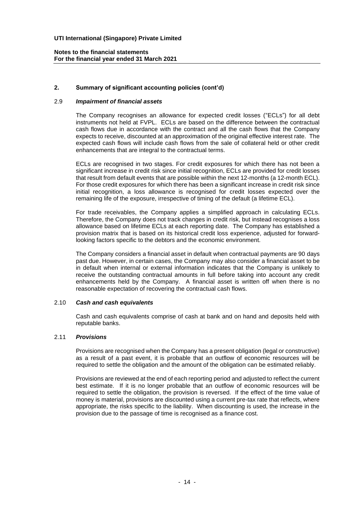# **2. Summary of significant accounting policies (cont'd)**

# 2.9 *Impairment of financial assets*

The Company recognises an allowance for expected credit losses ("ECLs") for all debt instruments not held at FVPL. ECLs are based on the difference between the contractual cash flows due in accordance with the contract and all the cash flows that the Company expects to receive, discounted at an approximation of the original effective interest rate. The expected cash flows will include cash flows from the sale of collateral held or other credit enhancements that are integral to the contractual terms.

ECLs are recognised in two stages. For credit exposures for which there has not been a significant increase in credit risk since initial recognition, ECLs are provided for credit losses that result from default events that are possible within the next 12-months (a 12-month ECL). For those credit exposures for which there has been a significant increase in credit risk since initial recognition, a loss allowance is recognised for credit losses expected over the remaining life of the exposure, irrespective of timing of the default (a lifetime ECL).

For trade receivables, the Company applies a simplified approach in calculating ECLs. Therefore, the Company does not track changes in credit risk, but instead recognises a loss allowance based on lifetime ECLs at each reporting date. The Company has established a provision matrix that is based on its historical credit loss experience, adjusted for forwardlooking factors specific to the debtors and the economic environment.

The Company considers a financial asset in default when contractual payments are 90 days past due. However, in certain cases, the Company may also consider a financial asset to be in default when internal or external information indicates that the Company is unlikely to receive the outstanding contractual amounts in full before taking into account any credit enhancements held by the Company. A financial asset is written off when there is no reasonable expectation of recovering the contractual cash flows.

#### 2.10 *Cash and cash equivalents*

Cash and cash equivalents comprise of cash at bank and on hand and deposits held with reputable banks.

#### 2.11 *Provisions*

Provisions are recognised when the Company has a present obligation (legal or constructive) as a result of a past event, it is probable that an outflow of economic resources will be required to settle the obligation and the amount of the obligation can be estimated reliably.

Provisions are reviewed at the end of each reporting period and adjusted to reflect the current best estimate. If it is no longer probable that an outflow of economic resources will be required to settle the obligation, the provision is reversed. If the effect of the time value of money is material, provisions are discounted using a current pre-tax rate that reflects, where appropriate, the risks specific to the liability. When discounting is used, the increase in the provision due to the passage of time is recognised as a finance cost.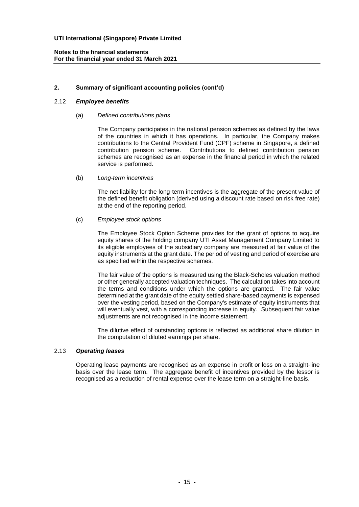# **2. Summary of significant accounting policies (cont'd)**

# 2.12 *Employee benefits*

# (a) *Defined contributions plans*

The Company participates in the national pension schemes as defined by the laws of the countries in which it has operations. In particular, the Company makes contributions to the Central Provident Fund (CPF) scheme in Singapore, a defined contribution pension scheme. Contributions to defined contribution pension schemes are recognised as an expense in the financial period in which the related service is performed.

#### (b) *Long-term incentives*

The net liability for the long-term incentives is the aggregate of the present value of the defined benefit obligation (derived using a discount rate based on risk free rate) at the end of the reporting period.

#### (c) *Employee stock options*

The Employee Stock Option Scheme provides for the grant of options to acquire equity shares of the holding company UTI Asset Management Company Limited to its eligible employees of the subsidiary company are measured at fair value of the equity instruments at the grant date. The period of vesting and period of exercise are as specified within the respective schemes.

The fair value of the options is measured using the Black-Scholes valuation method or other generally accepted valuation techniques. The calculation takes into account the terms and conditions under which the options are granted. The fair value determined at the grant date of the equity settled share-based payments is expensed over the vesting period, based on the Company's estimate of equity instruments that will eventually vest, with a corresponding increase in equity. Subsequent fair value adjustments are not recognised in the income statement.

The dilutive effect of outstanding options is reflected as additional share dilution in the computation of diluted earnings per share.

# 2.13 *Operating leases*

Operating lease payments are recognised as an expense in profit or loss on a straight-line basis over the lease term. The aggregate benefit of incentives provided by the lessor is recognised as a reduction of rental expense over the lease term on a straight-line basis.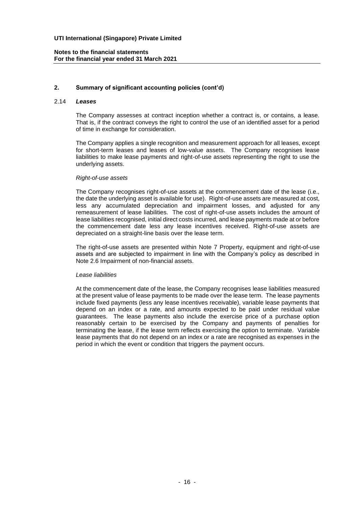# **2. Summary of significant accounting policies (cont'd)**

#### 2.14 *Leases*

The Company assesses at contract inception whether a contract is, or contains, a lease. That is, if the contract conveys the right to control the use of an identified asset for a period of time in exchange for consideration.

The Company applies a single recognition and measurement approach for all leases, except for short-term leases and leases of low-value assets. The Company recognises lease liabilities to make lease payments and right-of-use assets representing the right to use the underlying assets.

#### *Right-of-use assets*

The Company recognises right-of-use assets at the commencement date of the lease (i.e., the date the underlying asset is available for use). Right-of-use assets are measured at cost, less any accumulated depreciation and impairment losses, and adjusted for any remeasurement of lease liabilities. The cost of right-of-use assets includes the amount of lease liabilities recognised, initial direct costs incurred, and lease payments made at or before the commencement date less any lease incentives received. Right-of-use assets are depreciated on a straight-line basis over the lease term.

The right-of-use assets are presented within Note 7 Property, equipment and right-of-use assets and are subjected to impairment in line with the Company's policy as described in Note 2.6 Impairment of non-financial assets.

#### *Lease liabilities*

At the commencement date of the lease, the Company recognises lease liabilities measured at the present value of lease payments to be made over the lease term. The lease payments include fixed payments (less any lease incentives receivable), variable lease payments that depend on an index or a rate, and amounts expected to be paid under residual value guarantees. The lease payments also include the exercise price of a purchase option reasonably certain to be exercised by the Company and payments of penalties for terminating the lease, if the lease term reflects exercising the option to terminate. Variable lease payments that do not depend on an index or a rate are recognised as expenses in the period in which the event or condition that triggers the payment occurs.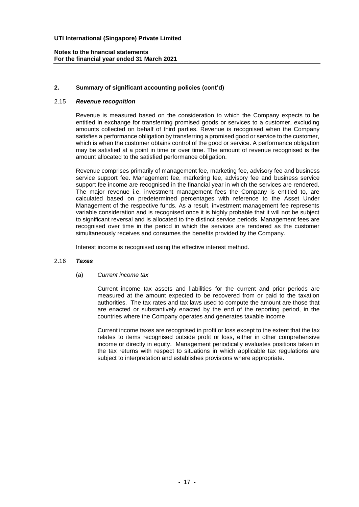# **2. Summary of significant accounting policies (cont'd)**

# 2.15 *Revenue recognition*

Revenue is measured based on the consideration to which the Company expects to be entitled in exchange for transferring promised goods or services to a customer, excluding amounts collected on behalf of third parties. Revenue is recognised when the Company satisfies a performance obligation by transferring a promised good or service to the customer, which is when the customer obtains control of the good or service. A performance obligation may be satisfied at a point in time or over time. The amount of revenue recognised is the amount allocated to the satisfied performance obligation.

Revenue comprises primarily of management fee, marketing fee, advisory fee and business service support fee. Management fee, marketing fee, advisory fee and business service support fee income are recognised in the financial year in which the services are rendered. The major revenue i.e. investment management fees the Company is entitled to, are calculated based on predetermined percentages with reference to the Asset Under Management of the respective funds. As a result, investment management fee represents variable consideration and is recognised once it is highly probable that it will not be subject to significant reversal and is allocated to the distinct service periods. Management fees are recognised over time in the period in which the services are rendered as the customer simultaneously receives and consumes the benefits provided by the Company.

Interest income is recognised using the effective interest method.

### 2.16 *Taxes*

(a) *Current income tax*

Current income tax assets and liabilities for the current and prior periods are measured at the amount expected to be recovered from or paid to the taxation authorities. The tax rates and tax laws used to compute the amount are those that are enacted or substantively enacted by the end of the reporting period, in the countries where the Company operates and generates taxable income.

Current income taxes are recognised in profit or loss except to the extent that the tax relates to items recognised outside profit or loss, either in other comprehensive income or directly in equity. Management periodically evaluates positions taken in the tax returns with respect to situations in which applicable tax regulations are subject to interpretation and establishes provisions where appropriate.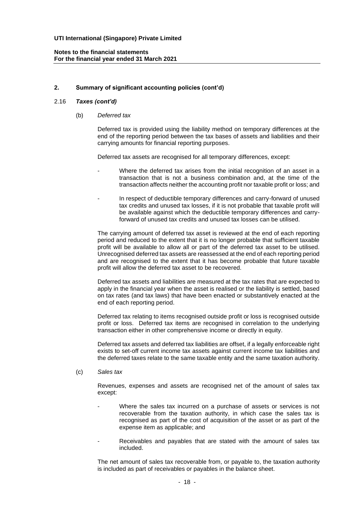# **2. Summary of significant accounting policies (cont'd)**

# 2.16 *Taxes (cont'd)*

(b) *Deferred tax*

Deferred tax is provided using the liability method on temporary differences at the end of the reporting period between the tax bases of assets and liabilities and their carrying amounts for financial reporting purposes.

Deferred tax assets are recognised for all temporary differences, except:

- Where the deferred tax arises from the initial recognition of an asset in a transaction that is not a business combination and, at the time of the transaction affects neither the accounting profit nor taxable profit or loss; and
- In respect of deductible temporary differences and carry-forward of unused tax credits and unused tax losses, if it is not probable that taxable profit will be available against which the deductible temporary differences and carryforward of unused tax credits and unused tax losses can be utilised.

The carrying amount of deferred tax asset is reviewed at the end of each reporting period and reduced to the extent that it is no longer probable that sufficient taxable profit will be available to allow all or part of the deferred tax asset to be utilised. Unrecognised deferred tax assets are reassessed at the end of each reporting period and are recognised to the extent that it has become probable that future taxable profit will allow the deferred tax asset to be recovered.

Deferred tax assets and liabilities are measured at the tax rates that are expected to apply in the financial year when the asset is realised or the liability is settled, based on tax rates (and tax laws) that have been enacted or substantively enacted at the end of each reporting period.

Deferred tax relating to items recognised outside profit or loss is recognised outside profit or loss. Deferred tax items are recognised in correlation to the underlying transaction either in other comprehensive income or directly in equity.

Deferred tax assets and deferred tax liabilities are offset, if a legally enforceable right exists to set-off current income tax assets against current income tax liabilities and the deferred taxes relate to the same taxable entity and the same taxation authority.

(c) *Sales tax*

Revenues, expenses and assets are recognised net of the amount of sales tax except:

- Where the sales tax incurred on a purchase of assets or services is not recoverable from the taxation authority, in which case the sales tax is recognised as part of the cost of acquisition of the asset or as part of the expense item as applicable; and
- Receivables and payables that are stated with the amount of sales tax included.

The net amount of sales tax recoverable from, or payable to, the taxation authority is included as part of receivables or payables in the balance sheet.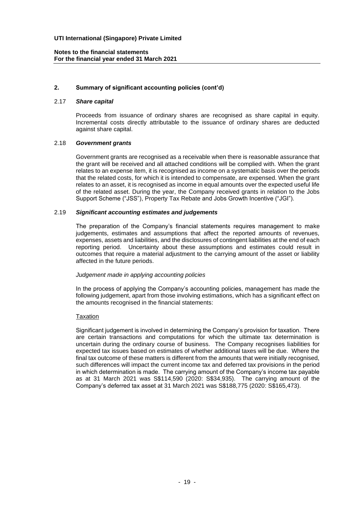# **2. Summary of significant accounting policies (cont'd)**

#### 2.17 *Share capital*

Proceeds from issuance of ordinary shares are recognised as share capital in equity. Incremental costs directly attributable to the issuance of ordinary shares are deducted against share capital.

#### 2.18 *Government grants*

Government grants are recognised as a receivable when there is reasonable assurance that the grant will be received and all attached conditions will be complied with. When the grant relates to an expense item, it is recognised as income on a systematic basis over the periods that the related costs, for which it is intended to compensate, are expensed. When the grant relates to an asset, it is recognised as income in equal amounts over the expected useful life of the related asset. During the year, the Company received grants in relation to the Jobs Support Scheme ("JSS"), Property Tax Rebate and Jobs Growth Incentive ("JGI").

#### 2.19 *Significant accounting estimates and judgements*

The preparation of the Company's financial statements requires management to make judgements, estimates and assumptions that affect the reported amounts of revenues, expenses, assets and liabilities, and the disclosures of contingent liabilities at the end of each reporting period. Uncertainty about these assumptions and estimates could result in outcomes that require a material adjustment to the carrying amount of the asset or liability affected in the future periods.

#### *Judgement made in applying accounting policies*

In the process of applying the Company's accounting policies, management has made the following judgement, apart from those involving estimations, which has a significant effect on the amounts recognised in the financial statements:

#### **Taxation**

Significant judgement is involved in determining the Company's provision for taxation. There are certain transactions and computations for which the ultimate tax determination is uncertain during the ordinary course of business. The Company recognises liabilities for expected tax issues based on estimates of whether additional taxes will be due. Where the final tax outcome of these matters is different from the amounts that were initially recognised, such differences will impact the current income tax and deferred tax provisions in the period in which determination is made. The carrying amount of the Company's income tax payable as at 31 March 2021 was S\$114,590 (2020: S\$34,935). The carrying amount of the Company's deferred tax asset at 31 March 2021 was S\$188,775 (2020: S\$165,473).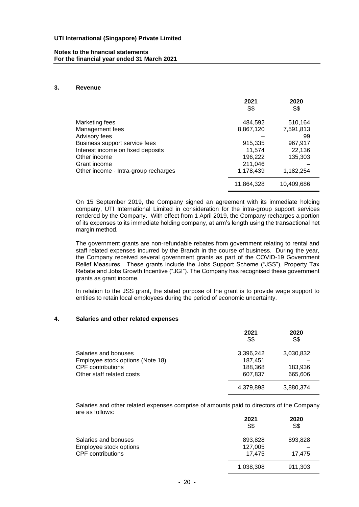#### **Notes to the financial statements For the financial year ended 31 March 2021**

#### **3. Revenue**

|                                      | 2021<br>S\$ | 2020<br>S\$ |
|--------------------------------------|-------------|-------------|
| Marketing fees                       | 484,592     | 510,164     |
| Management fees                      | 8,867,120   | 7,591,813   |
| Advisory fees                        |             | 99          |
| Business support service fees        | 915,335     | 967,917     |
| Interest income on fixed deposits    | 11.574      | 22,136      |
| Other income                         | 196,222     | 135,303     |
| Grant income                         | 211,046     |             |
| Other income - Intra-group recharges | 1,178,439   | 1,182,254   |
|                                      | 11,864,328  | 10,409,686  |

On 15 September 2019, the Company signed an agreement with its immediate holding company, UTI International Limited in consideration for the intra-group support services rendered by the Company. With effect from 1 April 2019, the Company recharges a portion of its expenses to its immediate holding company, at arm's length using the transactional net margin method.

The government grants are non-refundable rebates from government relating to rental and staff related expenses incurred by the Branch in the course of business. During the year, the Company received several government grants as part of the COVID-19 Government Relief Measures. These grants include the Jobs Support Scheme ("JSS"), Property Tax Rebate and Jobs Growth Incentive ("JGI"). The Company has recognised these government grants as grant income.

In relation to the JSS grant, the stated purpose of the grant is to provide wage support to entities to retain local employees during the period of economic uncertainty.

#### **4. Salaries and other related expenses**

|                                  | 2021<br>S\$ | 2020<br>S\$ |
|----------------------------------|-------------|-------------|
| Salaries and bonuses             | 3,396,242   | 3,030,832   |
| Employee stock options (Note 18) | 187.451     |             |
| <b>CPF</b> contributions         | 188,368     | 183,936     |
| Other staff related costs        | 607,837     | 665,606     |
|                                  | 4,379,898   | 3,880,374   |

Salaries and other related expenses comprise of amounts paid to directors of the Company are as follows:

|                          | 2021<br>S\$ | 2020<br>S\$ |
|--------------------------|-------------|-------------|
| Salaries and bonuses     | 893,828     | 893,828     |
| Employee stock options   | 127,005     |             |
| <b>CPF</b> contributions | 17.475      | 17.475      |
|                          | 1,038,308   | 911,303     |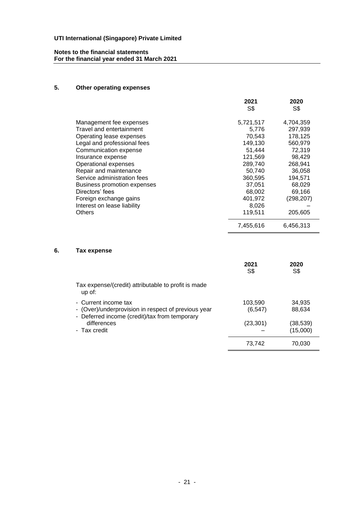# **Notes to the financial statements For the financial year ended 31 March 2021**

# **5. Other operating expenses**

|                                    | 2021<br>S\$ | 2020<br>S\$ |
|------------------------------------|-------------|-------------|
|                                    |             |             |
| Management fee expenses            | 5,721,517   | 4,704,359   |
| Travel and entertainment           | 5,776       | 297,939     |
| Operating lease expenses           | 70,543      | 178,125     |
| Legal and professional fees        | 149,130     | 560,979     |
| Communication expense              | 51,444      | 72,319      |
| Insurance expense                  | 121,569     | 98,429      |
| Operational expenses               | 289,740     | 268,941     |
| Repair and maintenance             | 50,740      | 36,058      |
| Service administration fees        | 360,595     | 194,571     |
| <b>Business promotion expenses</b> | 37,051      | 68,029      |
| Directors' fees                    | 68,002      | 69,166      |
| Foreign exchange gains             | 401,972     | (298, 207)  |
| Interest on lease liability        | 8,026       |             |
| <b>Others</b>                      | 119,511     | 205,605     |
|                                    | 7,455,616   | 6,456,313   |

# **6. Tax expense**

|                                                                                                                              | 2021<br>S\$         | 2020<br>S\$          |
|------------------------------------------------------------------------------------------------------------------------------|---------------------|----------------------|
| Tax expense/(credit) attributable to profit is made<br>$up$ of:                                                              |                     |                      |
| - Current income tax<br>- (Over)/underprovision in respect of previous year<br>- Deferred income (credit)/tax from temporary | 103,590<br>(6, 547) | 34,935<br>88,634     |
| differences<br>- Tax credit                                                                                                  | (23, 301)           | (38,539)<br>(15,000) |
|                                                                                                                              | 73,742              | 70.030               |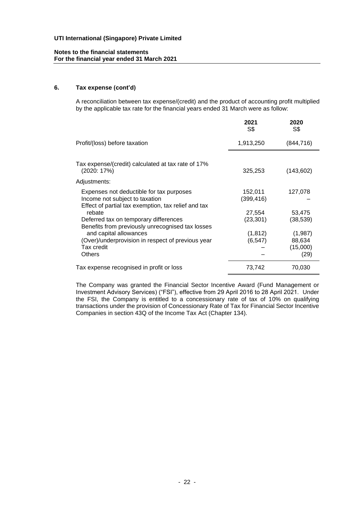### **6. Tax expense (cont'd)**

A reconciliation between tax expense/(credit) and the product of accounting profit multiplied by the applicable tax rate for the financial years ended 31 March were as follow:

|                                                                                                                                               | 2021<br>S\$          | 2020<br>S\$                   |
|-----------------------------------------------------------------------------------------------------------------------------------------------|----------------------|-------------------------------|
| Profit/(loss) before taxation                                                                                                                 | 1,913,250            | (844, 716)                    |
| Tax expense/(credit) calculated at tax rate of 17%<br>(2020: 17%)                                                                             | 325,253              | (143,602)                     |
| Adjustments:                                                                                                                                  |                      |                               |
| Expenses not deductible for tax purposes<br>Income not subject to taxation<br>Effect of partial tax exemption, tax relief and tax             | 152,011<br>(399,416) | 127,078                       |
| rebate<br>Deferred tax on temporary differences                                                                                               | 27,554<br>(23, 301)  | 53,475<br>(38, 539)           |
| Benefits from previously unrecognised tax losses<br>and capital allowances<br>(Over)/underprovision in respect of previous year<br>Tax credit | (1, 812)<br>(6, 547) | (1,987)<br>88,634<br>(15,000) |
| <b>Others</b>                                                                                                                                 |                      | (29)                          |
| Tax expense recognised in profit or loss                                                                                                      | 73,742               | 70,030                        |

The Company was granted the Financial Sector Incentive Award (Fund Management or Investment Advisory Services) ("FSI"), effective from 29 April 2016 to 28 April 2021. Under the FSI, the Company is entitled to a concessionary rate of tax of 10% on qualifying transactions under the provision of Concessionary Rate of Tax for Financial Sector Incentive Companies in section 43Q of the Income Tax Act (Chapter 134).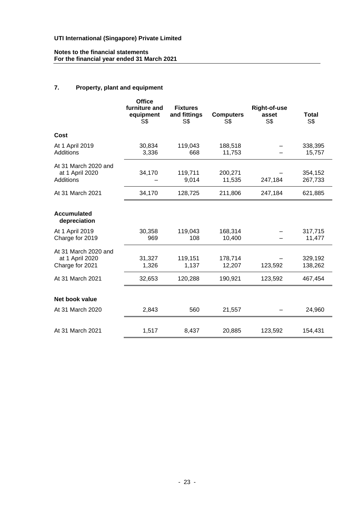#### **Notes to the financial statements For the financial year ended 31 March 2021**

# **7. Property, plant and equipment**

|                                                             | <b>Office</b><br>furniture and<br>equipment<br>S\$ | <b>Fixtures</b><br>and fittings<br>S\$ | <b>Computers</b><br>S\$ | <b>Right-of-use</b><br>asset<br>S\$ | <b>Total</b><br>S\$ |
|-------------------------------------------------------------|----------------------------------------------------|----------------------------------------|-------------------------|-------------------------------------|---------------------|
| Cost                                                        |                                                    |                                        |                         |                                     |                     |
| At 1 April 2019<br>Additions                                | 30,834<br>3,336                                    | 119,043<br>668                         | 188,518<br>11,753       |                                     | 338,395<br>15,757   |
| At 31 March 2020 and<br>at 1 April 2020<br><b>Additions</b> | 34,170                                             | 119,711<br>9,014                       | 200,271<br>11,535       | 247,184                             | 354,152<br>267,733  |
| At 31 March 2021                                            | 34,170                                             | 128,725                                | 211,806                 | 247,184                             | 621,885             |
| <b>Accumulated</b><br>depreciation                          |                                                    |                                        |                         |                                     |                     |
| At 1 April 2019<br>Charge for 2019                          | 30,358<br>969                                      | 119,043<br>108                         | 168,314<br>10,400       |                                     | 317,715<br>11,477   |
| At 31 March 2020 and<br>at 1 April 2020<br>Charge for 2021  | 31,327<br>1,326                                    | 119,151<br>1,137                       | 178,714<br>12,207       | 123,592                             | 329,192<br>138,262  |
| At 31 March 2021                                            | 32,653                                             | 120,288                                | 190,921                 | 123,592                             | 467,454             |
| Net book value                                              |                                                    |                                        |                         |                                     |                     |
| At 31 March 2020                                            | 2,843                                              | 560                                    | 21,557                  |                                     | 24,960              |
| At 31 March 2021                                            | 1,517                                              | 8,437                                  | 20,885                  | 123,592                             | 154,431             |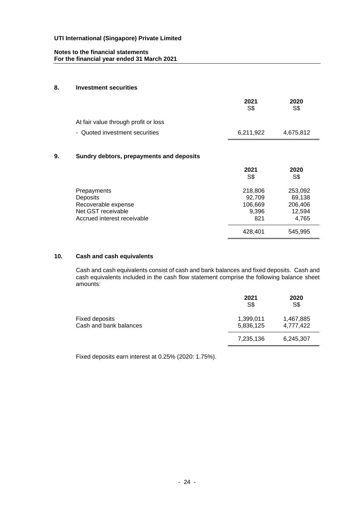#### **8. Investment securities**

|                                      | 2021<br>S\$ | 2020<br>S\$ |
|--------------------------------------|-------------|-------------|
| At fair value through profit or loss |             |             |
| - Quoted investment securities       | 6,211,922   | 4,675,812   |
|                                      |             |             |

# **9. Sundry debtors, prepayments and deposits**

|                             | 2021<br>S\$ | 2020<br>S\$ |
|-----------------------------|-------------|-------------|
| Prepayments                 | 218,806     | 253,092     |
| Deposits                    | 92,709      | 69,138      |
| Recoverable expense         | 106,669     | 206,406     |
| Net GST receivable          | 9,396       | 12,594      |
| Accrued interest receivable | 821         | 4,765       |
|                             | 428,401     | 545,995     |

# **10. Cash and cash equivalents**

Cash and cash equivalents consist of cash and bank balances and fixed deposits. Cash and cash equivalents included in the cash flow statement comprise the following balance sheet amounts:

|                                          | 2021<br>S\$            | 2020<br>S\$            |
|------------------------------------------|------------------------|------------------------|
| Fixed deposits<br>Cash and bank balances | 1,399,011<br>5,836,125 | 1,467,885<br>4,777,422 |
|                                          | 7,235,136              | 6,245,307              |

Fixed deposits earn interest at 0.25% (2020: 1.75%).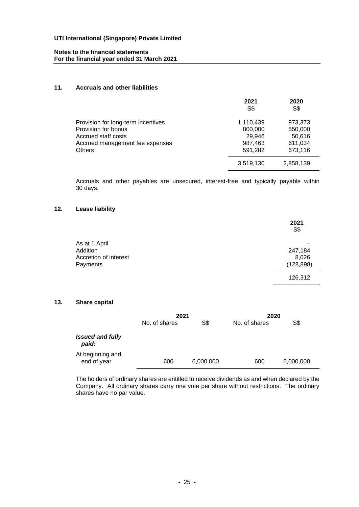### **Notes to the financial statements For the financial year ended 31 March 2021**

# **11. Accruals and other liabilities**

|                                    | 2021<br>S\$ | 2020<br>S\$ |
|------------------------------------|-------------|-------------|
| Provision for long-term incentives | 1,110,439   | 973,373     |
| Provision for bonus                | 800,000     | 550,000     |
| Accrued staff costs                | 29,946      | 50,616      |
| Accrued management fee expenses    | 987,463     | 611,034     |
| <b>Others</b>                      | 591,282     | 673,116     |
|                                    | 3,519,130   | 2,858,139   |

Accruals and other payables are unsecured, interest-free and typically payable within 30 days.

# **12. Lease liability**

|                       | 2021<br>S\$ |
|-----------------------|-------------|
| As at 1 April         |             |
| Addition              | 247,184     |
| Accretion of interest | 8,026       |
| Payments              | (128, 898)  |
|                       | 126,312     |
|                       |             |

# **13. Share capital**

|                                  | 2021          |           | 2020          |           |
|----------------------------------|---------------|-----------|---------------|-----------|
|                                  | No. of shares | S\$       | No. of shares | S\$       |
| <b>Issued and fully</b><br>paid: |               |           |               |           |
| At beginning and<br>end of year  | 600           | 6,000,000 | 600           | 6,000,000 |

The holders of ordinary shares are entitled to receive dividends as and when declared by the Company. All ordinary shares carry one vote per share without restrictions. The ordinary shares have no par value.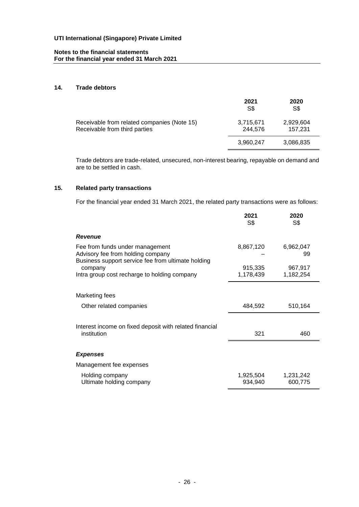# **Notes to the financial statements For the financial year ended 31 March 2021**

### **14. Trade debtors**

|                                                                              | 2021<br>S\$          | 2020<br>S\$          |
|------------------------------------------------------------------------------|----------------------|----------------------|
| Receivable from related companies (Note 15)<br>Receivable from third parties | 3,715,671<br>244.576 | 2,929,604<br>157.231 |
|                                                                              | 3,960,247            | 3,086,835            |

Trade debtors are trade-related, unsecured, non-interest bearing, repayable on demand and are to be settled in cash.

# **15. Related party transactions**

For the financial year ended 31 March 2021, the related party transactions were as follows:

|                                                                                                                            | 2021<br>S\$          | 2020<br>S\$          |
|----------------------------------------------------------------------------------------------------------------------------|----------------------|----------------------|
| <b>Revenue</b>                                                                                                             |                      |                      |
| Fee from funds under management<br>Advisory fee from holding company<br>Business support service fee from ultimate holding | 8,867,120            | 6,962,047<br>99      |
| company<br>Intra group cost recharge to holding company                                                                    | 915,335<br>1,178,439 | 967,917<br>1,182,254 |
|                                                                                                                            |                      |                      |
| Marketing fees                                                                                                             |                      |                      |
| Other related companies                                                                                                    | 484,592              | 510,164              |
|                                                                                                                            |                      |                      |
| Interest income on fixed deposit with related financial<br>institution                                                     | 321                  | 460                  |
|                                                                                                                            |                      |                      |
| <b>Expenses</b>                                                                                                            |                      |                      |
| Management fee expenses                                                                                                    |                      |                      |
| Holding company<br>Ultimate holding company                                                                                | 1,925,504<br>934,940 | 1,231,242<br>600,775 |
|                                                                                                                            |                      |                      |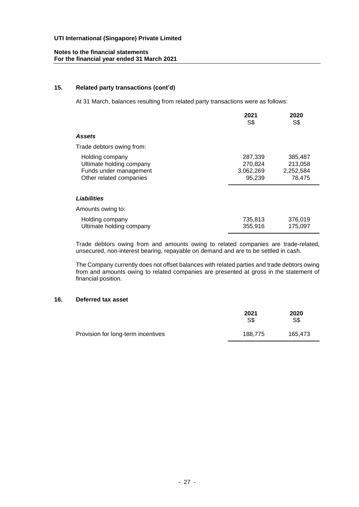#### **15. Related party transactions (cont'd)**

At 31 March, balances resulting from related party transactions were as follows:

|                                                                                                  | 2021<br>S\$                               | 2020<br>S\$                               |
|--------------------------------------------------------------------------------------------------|-------------------------------------------|-------------------------------------------|
| Assets                                                                                           |                                           |                                           |
| Trade debtors owing from:                                                                        |                                           |                                           |
| Holding company<br>Ultimate holding company<br>Funds under management<br>Other related companies | 287,339<br>270,824<br>3,062,269<br>95,239 | 385,487<br>213,058<br>2,252,584<br>78,475 |
| Liabilities                                                                                      |                                           |                                           |
| Amounts owing to:                                                                                |                                           |                                           |
| Holding company<br>Ultimate holding company                                                      | 735,813<br>355,916                        | 376,019<br>175.097                        |

Trade debtors owing from and amounts owing to related companies are trade-related, unsecured, non-interest bearing, repayable on demand and are to be settled in cash.

The Company currently does not offset balances with related parties and trade debtors owing from and amounts owing to related companies are presented at gross in the statement of financial position.

### **16. Deferred tax asset**

|                                    | 2021<br>S\$ | 2020<br>S\$ |
|------------------------------------|-------------|-------------|
| Provision for long-term incentives | 188.775     | 165.473     |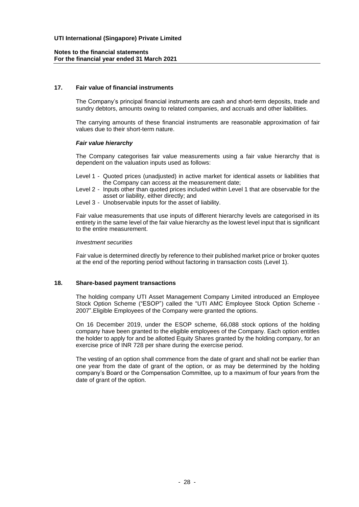### **17. Fair value of financial instruments**

The Company's principal financial instruments are cash and short-term deposits, trade and sundry debtors, amounts owing to related companies, and accruals and other liabilities.

The carrying amounts of these financial instruments are reasonable approximation of fair values due to their short-term nature.

#### *Fair value hierarchy*

The Company categorises fair value measurements using a fair value hierarchy that is dependent on the valuation inputs used as follows:

- Level 1 Quoted prices (unadjusted) in active market for identical assets or liabilities that the Company can access at the measurement date;
- Level 2 Inputs other than quoted prices included within Level 1 that are observable for the asset or liability, either directly; and
- Level 3 Unobservable inputs for the asset of liability.

Fair value measurements that use inputs of different hierarchy levels are categorised in its entirety in the same level of the fair value hierarchy as the lowest level input that is significant to the entire measurement.

#### *Investment securities*

Fair value is determined directly by reference to their published market price or broker quotes at the end of the reporting period without factoring in transaction costs (Level 1).

#### **18. Share-based payment transactions**

The holding company UTI Asset Management Company Limited introduced an Employee Stock Option Scheme ("ESOP") called the "UTI AMC Employee Stock Option Scheme - 2007".Eligible Employees of the Company were granted the options.

On 16 December 2019, under the ESOP scheme, 66,088 stock options of the holding company have been granted to the eligible employees of the Company. Each option entitles the holder to apply for and be allotted Equity Shares granted by the holding company, for an exercise price of INR 728 per share during the exercise period.

The vesting of an option shall commence from the date of grant and shall not be earlier than one year from the date of grant of the option, or as may be determined by the holding company's Board or the Compensation Committee, up to a maximum of four years from the date of grant of the option.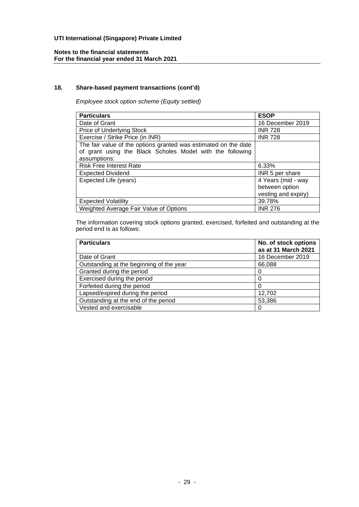# **18. Share-based payment transactions (cont'd)**

*Employee stock option scheme (Equity settled)*

| <b>Particulars</b>                                              | <b>ESOP</b>         |
|-----------------------------------------------------------------|---------------------|
| Date of Grant                                                   | 16 December 2019    |
| Price of Underlying Stock                                       | <b>INR 728</b>      |
| Exercise / Strike Price (in INR)                                | <b>INR 728</b>      |
| The fair value of the options granted was estimated on the date |                     |
| of grant using the Black Scholes Model with the following       |                     |
| assumptions:                                                    |                     |
| <b>Risk Free Interest Rate</b>                                  | 6.33%               |
| <b>Expected Dividend</b>                                        | INR 5 per share     |
| Expected Life (years)                                           | 4 Years (mid - way  |
|                                                                 | between option      |
|                                                                 | vesting and expiry) |
| <b>Expected Volatility</b>                                      | 39.78%              |
| Weighted Average Fair Value of Options                          | <b>INR 276</b>      |

The information covering stock options granted, exercised, forfeited and outstanding at the period end is as follows:

| <b>Particulars</b>                       | No. of stock options<br>as at 31 March 2021 |
|------------------------------------------|---------------------------------------------|
| Date of Grant                            | 16 December 2019                            |
| Outstanding at the beginning of the year | 66,088                                      |
| Granted during the period                |                                             |
| Exercised during the period              |                                             |
| Forfeited during the period              |                                             |
| Lapsed/expired during the period         | 12,702                                      |
| Outstanding at the end of the period     | 53,386                                      |
| Vested and exercisable                   | 0                                           |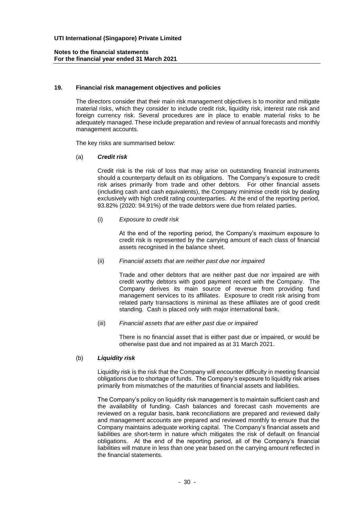#### **19. Financial risk management objectives and policies**

The directors consider that their main risk management objectives is to monitor and mitigate material risks, which they consider to include credit risk, liquidity risk, interest rate risk and foreign currency risk. Several procedures are in place to enable material risks to be adequately managed. These include preparation and review of annual forecasts and monthly management accounts.

The key risks are summarised below:

#### (a) *Credit risk*

Credit risk is the risk of loss that may arise on outstanding financial instruments should a counterparty default on its obligations. The Company's exposure to credit risk arises primarily from trade and other debtors. For other financial assets (including cash and cash equivalents), the Company minimise credit risk by dealing exclusively with high credit rating counterparties. At the end of the reporting period, 93.82% (2020: 94.91%) of the trade debtors were due from related parties.

(i) *Exposure to credit risk*

At the end of the reporting period, the Company's maximum exposure to credit risk is represented by the carrying amount of each class of financial assets recognised in the balance sheet.

#### (ii) *Financial assets that are neither past due nor impaired*

Trade and other debtors that are neither past due nor impaired are with credit worthy debtors with good payment record with the Company. The Company derives its main source of revenue from providing fund management services to its affiliates. Exposure to credit risk arising from related party transactions is minimal as these affiliates are of good credit standing. Cash is placed only with major international bank.

(iii) *Financial assets that are either past due or impaired*

There is no financial asset that is either past due or impaired, or would be otherwise past due and not impaired as at 31 March 2021.

#### (b) *Liquidity risk*

Liquidity risk is the risk that the Company will encounter difficulty in meeting financial obligations due to shortage of funds. The Company's exposure to liquidity risk arises primarily from mismatches of the maturities of financial assets and liabilities.

The Company's policy on liquidity risk management is to maintain sufficient cash and the availability of funding. Cash balances and forecast cash movements are reviewed on a regular basis, bank reconciliations are prepared and reviewed daily and management accounts are prepared and reviewed monthly to ensure that the Company maintains adequate working capital. The Company's financial assets and liabilities are short-term in nature which mitigates the risk of default on financial obligations. At the end of the reporting period, all of the Company's financial liabilities will mature in less than one year based on the carrying amount reflected in the financial statements.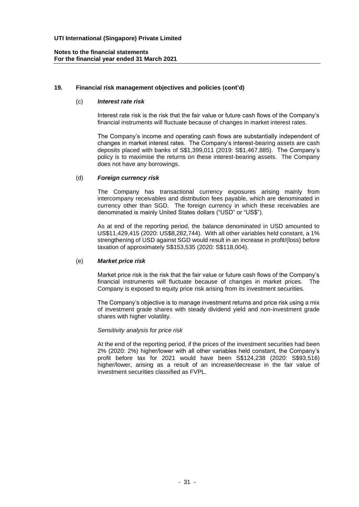# **19. Financial risk management objectives and policies (cont'd)**

# (c) *Interest rate risk*

Interest rate risk is the risk that the fair value or future cash flows of the Company's financial instruments will fluctuate because of changes in market interest rates.

The Company's income and operating cash flows are substantially independent of changes in market interest rates. The Company's interest-bearing assets are cash deposits placed with banks of S\$1,399,011 (2019: S\$1,467,885). The Company's policy is to maximise the returns on these interest-bearing assets. The Company does not have any borrowings.

#### (d) *Foreign currency risk*

The Company has transactional currency exposures arising mainly from intercompany receivables and distribution fees payable, which are denominated in currency other than SGD. The foreign currency in which these receivables are denominated is mainly United States dollars ("USD" or "US\$").

As at end of the reporting period, the balance denominated in USD amounted to US\$11,429,415 (2020: US\$8,282,744). With all other variables held constant, a 1% strengthening of USD against SGD would result in an increase in profit/(loss) before taxation of approximately S\$153,535 (2020: S\$118,004).

#### (e) *Market price risk*

Market price risk is the risk that the fair value or future cash flows of the Company's financial instruments will fluctuate because of changes in market prices. The Company is exposed to equity price risk arising from its investment securities.

The Company's objective is to manage investment returns and price risk using a mix of investment grade shares with steady dividend yield and non-investment grade shares with higher volatility.

#### *Sensitivity analysis for price risk*

At the end of the reporting period, if the prices of the investment securities had been 2% (2020: 2%) higher/lower with all other variables held constant, the Company's profit before tax for 2021 would have been S\$124,238 (2020: S\$93,516) higher/lower, arising as a result of an increase/decrease in the fair value of investment securities classified as FVPL.